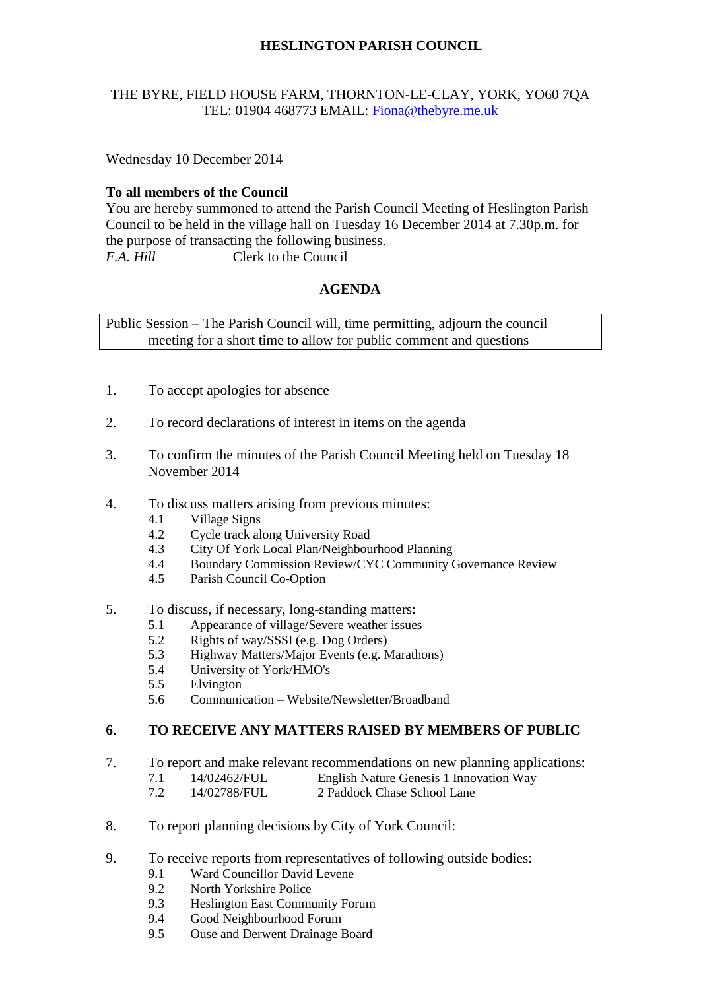# **HESLINGTON PARISH COUNCIL**

#### THE BYRE, FIELD HOUSE FARM, THORNTON-LE-CLAY, YORK, YO60 7QA TEL: 01904 468773 EMAIL: [Fiona@thebyre.me.uk](mailto:Fiona@thebyre.me.uk)

Wednesday 10 December 2014

### **To all members of the Council**

You are hereby summoned to attend the Parish Council Meeting of Heslington Parish Council to be held in the village hall on Tuesday 16 December 2014 at 7.30p.m. for the purpose of transacting the following business. *F.A. Hill* Clerk to the Council

## **AGENDA**

Public Session – The Parish Council will, time permitting, adjourn the council meeting for a short time to allow for public comment and questions

- 1. To accept apologies for absence
- 2. To record declarations of interest in items on the agenda
- 3. To confirm the minutes of the Parish Council Meeting held on Tuesday 18 November 2014
- 4. To discuss matters arising from previous minutes:
	- 4.1 Village Signs<br>4.2 Cycle track al
	- 4.2 Cycle track along University Road
	- 4.3 City Of York Local Plan/Neighbourhood Planning
	- 4.4 Boundary Commission Review/CYC Community Governance Review
	- 4.5 Parish Council Co-Option
- 5. To discuss, if necessary, long-standing matters:
	- 5.1 Appearance of village/Severe weather issues
	- 5.2 Rights of way/SSSI (e.g. Dog Orders)
	- 5.3 Highway Matters/Major Events (e.g. Marathons)
	- 5.4 University of York/HMO's
	- 5.5 Elvington
	- 5.6 Communication Website/Newsletter/Broadband

#### **6. TO RECEIVE ANY MATTERS RAISED BY MEMBERS OF PUBLIC**

- 7. To report and make relevant recommendations on new planning applications:
	- 7.1 14/02462/FUL English Nature Genesis 1 Innovation Way
		- 7.2 14/02788/FUL 2 Paddock Chase School Lane
- 8. To report planning decisions by City of York Council:
- 9. To receive reports from representatives of following outside bodies:
	- 9.1 Ward Councillor David Levene
	- 9.2 North Yorkshire Police
	- 9.3 Heslington East Community Forum
	- 9.4 Good Neighbourhood Forum
	- 9.5 Ouse and Derwent Drainage Board